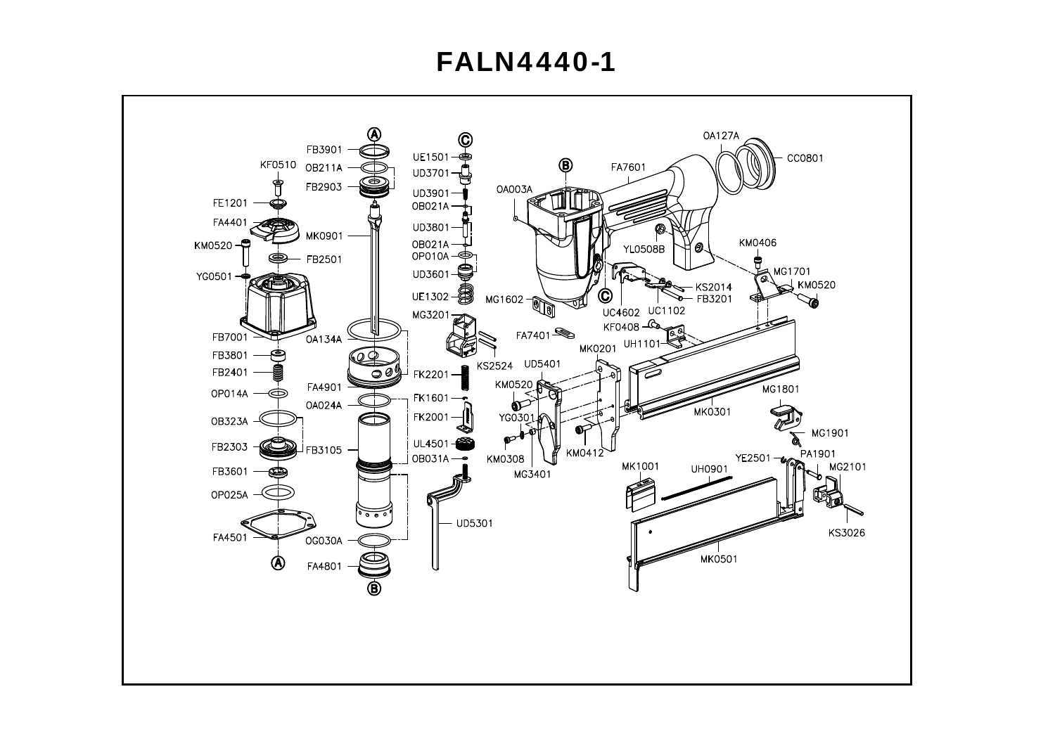## **FALN4440-1**